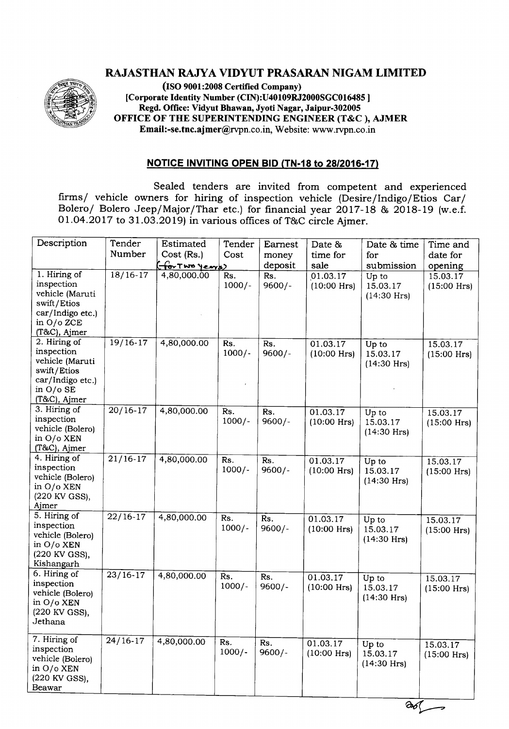## RAJASTHAN RAJYA VIDYUT PRASARAN NIGAM LIMITED



(ISO 9001:2008 Certified Company) [Corporate Identity Number (CIN):U40109RJ2000SGCOI6485] Regd. Office: Vidyut Bhawan, Jyoti Nagar, Jaipur-302005 OFFICE OF THE SUPERINTENDING ENGINEER (T&C ), AJMER Email:-se.tnc.ajmer@rvpn.co.in, Website: www.rvpn.co.in

## NOTICE INVITING OPEN BID (TN·18 to *28/2016·17)*

Sealed tenders are invited from competent and experienced firms*I* vehicle owners for hiring of inspection vehicle (Desire*I*Indigo*I*Etios Car*I* Bolero/ Bolero Jeep/Major/Thar etc.) for financial year 2017-18 & 2018-19 (w.e.f. 01.04.2017 to 31.03.2019) in various offices of T&C circle Ajmer.

| Description                                                                                                     | Tender<br>Number   | Estimated<br>Cost (Rs.) | Tender<br>Cost  | Earnest<br>money | Date &<br>time for        | Date & time<br>for                 | Time and<br>date for      |
|-----------------------------------------------------------------------------------------------------------------|--------------------|-------------------------|-----------------|------------------|---------------------------|------------------------------------|---------------------------|
|                                                                                                                 |                    | (for Two years)         |                 | deposit          | sale                      | submission                         | opening                   |
| 1. Hiring of<br>inspection<br>vehicle (Maruti<br>swift/Etios<br>car/Indigo etc.)<br>in O/o ZCE<br>(T&C), Ajmer  | $18/16-17$         | 4,80,000.00             | Rs.<br>$1000/-$ | Rs.<br>$9600/-$  | 01.03.17<br>$(10:00$ Hrs) | Up to<br>15.03.17<br>$(14:30$ Hrs) | 15.03.17<br>$(15:00$ Hrs) |
| 2. Hiring of<br>inspection<br>vehicle (Maruti<br>swift/Etios<br>car/Indigo etc.)<br>in $O/O$ SE<br>(T&C), Ajmer | $19/16-17$         | 4,80,000.00             | Rs.<br>$1000/-$ | Rs.<br>$9600/-$  | 01.03.17<br>$(10:00$ Hrs) | Up to<br>15.03.17<br>$(14:30$ Hrs) | 15.03.17<br>$(15:00$ Hrs) |
| 3. Hiring of<br>inspection<br>vehicle (Bolero)<br>in O/o XEN<br>(T&C), Ajmer                                    | $\frac{20}{16-17}$ | 4,80,000.00             | Rs.<br>$1000/-$ | Rs.<br>$9600/-$  | 01.03.17<br>$(10:00$ Hrs) | Up to<br>15.03.17<br>$(14:30$ Hrs) | 15.03.17<br>$(15:00$ Hrs) |
| 4. Hiring of<br>inspection<br>vehicle (Bolero)<br>in O/o XEN<br>(220 KV GSS),<br>Ajmer                          | $21/16-17$         | 4,80,000.00             | Rs.<br>$1000/-$ | Rs.<br>$9600/-$  | 01.03.17<br>$(10:00$ Hrs) | Up to<br>15.03.17<br>$(14:30$ Hrs) | 15.03.17<br>$(15:00$ Hrs) |
| 5. Hiring of<br>inspection<br>vehicle (Bolero)<br>in O/o XEN<br>(220 KV GSS),<br>Kishangarh                     | $\frac{22}{16-17}$ | 4,80,000.00             | Rs.<br>$1000/-$ | Rs.<br>$9600/-$  | 01.03.17<br>$(10:00$ Hrs) | Up to<br>15.03.17<br>$(14:30$ Hrs) | 15.03.17<br>$(15:00$ Hrs) |
| 6. Hiring of<br>inspection<br>vehicle (Bolero)<br>in O/o XEN<br>(220 KV GSS),<br>Jethana                        | $23/16-17$         | 4,80,000.00             | Rs.<br>$1000/-$ | Rs.<br>$9600/-$  | 01.03.17<br>$(10:00$ Hrs) | Up to<br>15.03.17<br>$(14:30$ Hrs) | 15.03.17<br>$(15:00$ Hrs) |
| 7. Hiring of<br>inspection<br>vehicle (Bolero)<br>in O/o XEN<br>(220 KV GSS),<br><b>Beawar</b>                  | $24/16-17$         | 4,80,000.00             | Rs.<br>$1000/-$ | Rs.<br>$9600/-$  | 01.03.17<br>$(10:00$ Hrs) | Up to<br>15.03.17<br>$(14:30$ Hrs) | 15.03.17<br>$(15:00$ Hrs) |

 $\infty$